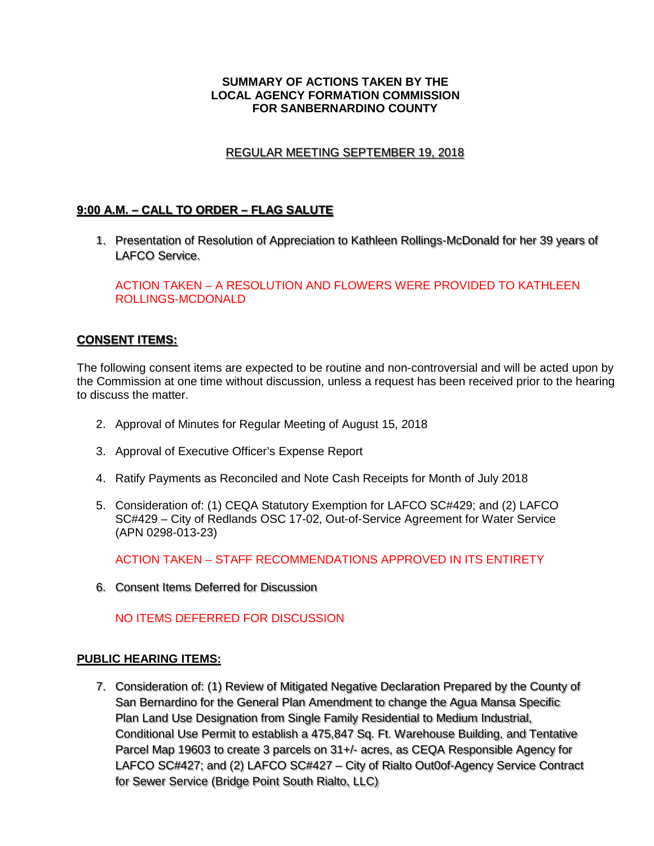#### **SUMMARY OF ACTIONS TAKEN BY THE LOCAL AGENCY FORMATION COMMISSION FOR SANBERNARDINO COUNTY**

## REGULAR MEETING SEPTEMBER 19, 2018 REGULAR MEETING SEPTEMBER 19 2018

## **9:00 A.M. – CALL TO ORDER – FLAG SALUTE 9·00 A.M.** - **CALL TO ORDER** - F **AG SALUTE**

1. Presentation of Resolution of Appreciation to Kathleen Rollings-McDonald for her 39 years of 1. Presentation of Resolution of Appreciation to Kathleen Rollings-McDonald for her 39 years of LAFCO Service. LAFCO Service.

ACTION TAKEN – A RESOLUTION AND FLOWERS WERE PROVIDED TO KATHLEEN ROLLINGS-MCDONALD

## **CONSENT ITEMS: CONSENT ITEMS·**

The following consent items are expected to be routine and non-controversial and will be acted upon by the Commission at one time without discussion, unless a request has been received prior to the hearing to discuss the matter.

- 2. Approval of Minutes for Regular Meeting of August 15, 2018
- 3. Approval of Executive Officer's Expense Report
- 4. Ratify Payments as Reconciled and Note Cash Receipts for Month of July 2018
- 5. Consideration of: (1) CEQA Statutory Exemption for LAFCO SC#429; and (2) LAFCO SC#429 – City of Redlands OSC 17-02, Out-of-Service Agreement for Water Service (APN 0298-013-23)

ACTION TAKEN – STAFF RECOMMENDATIONS APPROVED IN ITS ENTIRETY

6. Consent Items Deferred for Discussion 6. Consent Items Deferred for Discussion

### NO ITEMS DEFERRED FOR DISCUSSION

### **PUBLIC HEARING ITEMS:**

7. Consideration of: (1) Review of Mitigated Negative Declaration Prepared by the County of San Bernardino for the General Plan Amendment to change the Agua Mansa Specific San Bernardino for the General Plan Amendment to change the Agua Mansa Specific Plan Land Use Designation from Single Family Residential to Medium Industrial, Plan Land Use Designation from Single Family Residential to Medium Industrial, Conditional Use Permit to establish a 475,847 Sq. Ft. Warehouse Building, and Tentative Parcel Map 19603 to create 3 parcels on 31+/- acres, as CEQA Responsible Agency for Parcel Map 19603 to create 3 parcels on 31+/- acres, as CEQA Responsible Agency for LAFCO SC#427; and (2) LAFCO SC#427 – City of Rialto Out0of-Agency Service Contract LAFCO SC#427; and (2) LAFCO SC#427 - City of Rialto Out0of-Agency Service Contract for Sewer Service (Bridge Point South Rialto, LLC)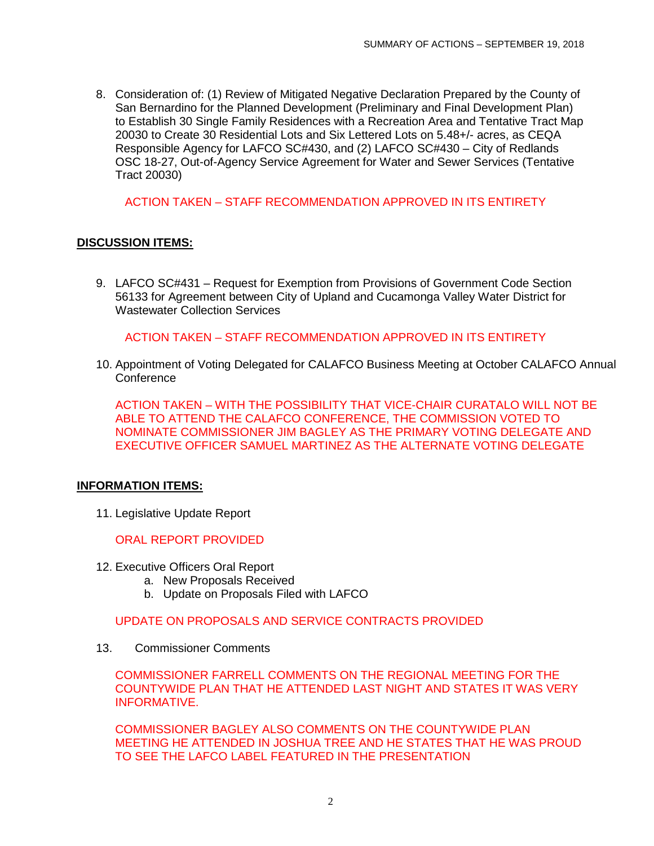8. Consideration of: (1) Review of Mitigated Negative Declaration Prepared by the County of San Bernardino for the Planned Development (Preliminary and Final Development Plan) to Establish 30 Single Family Residences with a Recreation Area and Tentative Tract Map 20030 to Create 30 Residential Lots and Six Lettered Lots on 5.48+/- acres, as CEQA Responsible Agency for LAFCO SC#430, and (2) LAFCO SC#430 – City of Redlands OSC 18-27, Out-of-Agency Service Agreement for Water and Sewer Services (Tentative Tract 20030)

ACTION TAKEN – STAFF RECOMMENDATION APPROVED IN ITS ENTIRETY

## **DISCUSSION ITEMS:**

9. LAFCO SC#431 – Request for Exemption from Provisions of Government Code Section 56133 for Agreement between City of Upland and Cucamonga Valley Water District for Wastewater Collection Services

ACTION TAKEN – STAFF RECOMMENDATION APPROVED IN ITS ENTIRETY

10. Appointment of Voting Delegated for CALAFCO Business Meeting at October CALAFCO Annual **Conference** 

ACTION TAKEN – WITH THE POSSIBILITY THAT VICE-CHAIR CURATALO WILL NOT BE ABLE TO ATTEND THE CALAFCO CONFERENCE, THE COMMISSION VOTED TO NOMINATE COMMISSIONER JIM BAGLEY AS THE PRIMARY VOTING DELEGATE AND EXECUTIVE OFFICER SAMUEL MARTINEZ AS THE ALTERNATE VOTING DELEGATE

### **INFORMATION ITEMS:**

11. Legislative Update Report

ORAL REPORT PROVIDED

- 12. Executive Officers Oral Report
	- a. New Proposals Received
	- b. Update on Proposals Filed with LAFCO

UPDATE ON PROPOSALS AND SERVICE CONTRACTS PROVIDED

13. Commissioner Comments

COMMISSIONER FARRELL COMMENTS ON THE REGIONAL MEETING FOR THE COUNTYWIDE PLAN THAT HE ATTENDED LAST NIGHT AND STATES IT WAS VERY INFORMATIVE.

COMMISSIONER BAGLEY ALSO COMMENTS ON THE COUNTYWIDE PLAN MEETING HE ATTENDED IN JOSHUA TREE AND HE STATES THAT HE WAS PROUD TO SEE THE LAFCO LABEL FEATURED IN THE PRESENTATION